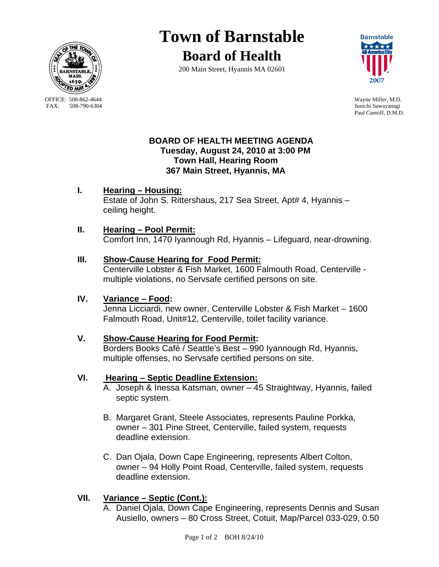

OFFICE: 508-862-4644 Wayne Miller, M.D.<br>
FAX: 508-790-6304 Junichi Sawavanagi

# **Town of Barnstable**

**Board of Health**





Junichi Sawayanagi Paul Canniff, D.M.D.

## **BOARD OF HEALTH MEETING AGENDA Tuesday, August 24, 2010 at 3:00 PM Town Hall, Hearing Room 367 Main Street, Hyannis, MA**

#### **I. Hearing – Housing:** Estate of John S. Rittershaus, 217 Sea Street, Apt# 4, Hyannis – ceiling height.

## **II. Hearing – Pool Permit:**

Comfort Inn, 1470 Iyannough Rd, Hyannis – Lifeguard, near-drowning.

## **III. Show-Cause Hearing for Food Permit:**

 Centerville Lobster & Fish Market, 1600 Falmouth Road, Centerville multiple violations, no Servsafe certified persons on site.

#### **IV. Variance – Food:**

 Jenna Licciardi, new owner, Centerville Lobster & Fish Market – 1600 Falmouth Road, Unit#12, Centerville, toilet facility variance.

## **V. Show-Cause Hearing for Food Permit:**

Borders Books Café / Seattle's Best – 990 Iyannough Rd, Hyannis, multiple offenses, no Servsafe certified persons on site.

#### **VI. Hearing – Septic Deadline Extension:**

- A. Joseph & Inessa Katsman, owner 45 Straightway, Hyannis, failed septic system.
- B. Margaret Grant, Steele Associates, represents Pauline Porkka, owner – 301 Pine Street, Centerville, failed system, requests deadline extension.
- C. Dan Ojala, Down Cape Engineering, represents Albert Colton, owner – 94 Holly Point Road, Centerville, failed system, requests deadline extension.

# **VII. Variance – Septic (Cont.):**

A. Daniel Ojala, Down Cape Engineering, represents Dennis and Susan Ausiello, owners – 80 Cross Street, Cotuit, Map/Parcel 033-029, 0.50